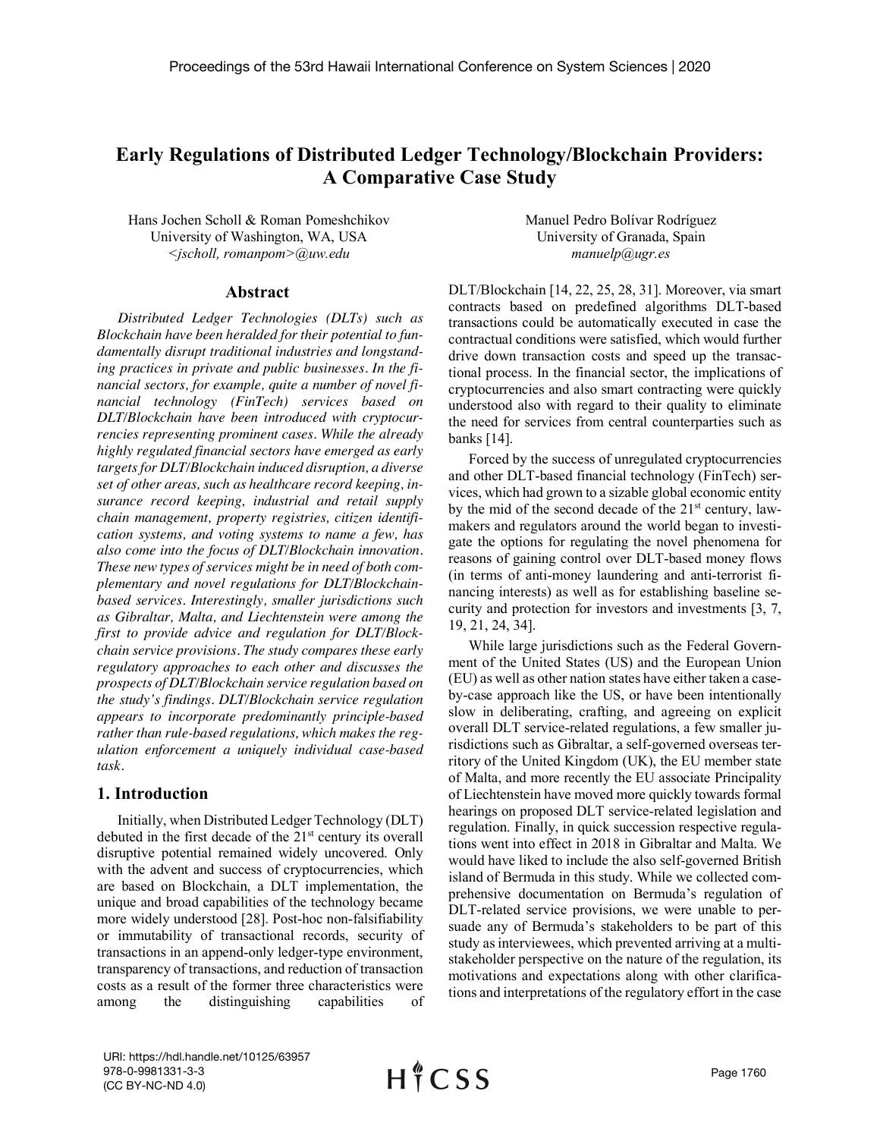# **Early Regulations of Distributed Ledger Technology/Blockchain Providers: A Comparative Case Study**

Hans Jochen Scholl & Roman Pomeshchikov University of Washington, WA, USA *<jscholl, romanpom>@uw.edu*

#### **Abstract**

*Distributed Ledger Technologies (DLTs) such as Blockchain have been heralded for their potential to fundamentally disrupt traditional industries and longstanding practices in private and public businesses. In the financial sectors, for example, quite a number of novel financial technology (FinTech) services based on DLT/Blockchain have been introduced with cryptocurrencies representing prominent cases. While the already highly regulated financial sectors have emerged as early targetsfor DLT/Blockchain induced disruption, a diverse set of other areas, such as healthcare record keeping, insurance record keeping, industrial and retail supply chain management, property registries, citizen identification systems, and voting systems to name a few, has also come into the focus of DLT/Blockchain innovation. These new types of services might be in need of both complementary and novel regulations for DLT/Blockchainbased services. Interestingly, smaller jurisdictions such as Gibraltar, Malta, and Liechtenstein were among the first to provide advice and regulation for DLT/Blockchain service provisions. The study compares these early regulatory approaches to each other and discusses the prospects of DLT/Blockchain service regulation based on the study's findings. DLT/Blockchain service regulation appears to incorporate predominantly principle-based rather than rule-based regulations, which makes the regulation enforcement a uniquely individual case-based task.*

### **1. Introduction**

Initially, when Distributed Ledger Technology (DLT) debuted in the first decade of the  $21<sup>st</sup>$  century its overall disruptive potential remained widely uncovered. Only with the advent and success of cryptocurrencies, which are based on Blockchain, a DLT implementation, the unique and broad capabilities of the technology became more widely understood [28]. Post-hoc non-falsifiability or immutability of transactional records, security of transactions in an append-only ledger-type environment, transparency of transactions, and reduction of transaction costs as a result of the former three characteristics were among the distinguishing capabilities of Manuel Pedro Bolívar Rodríguez University of Granada, Spain *manuelp@ugr.es*

DLT/Blockchain [14, 22, 25, 28, 31]. Moreover, via smart contracts based on predefined algorithms DLT-based transactions could be automatically executed in case the contractual conditions were satisfied, which would further drive down transaction costs and speed up the transactional process. In the financial sector, the implications of cryptocurrencies and also smart contracting were quickly understood also with regard to their quality to eliminate the need for services from central counterparties such as banks [14].

Forced by the success of unregulated cryptocurrencies and other DLT-based financial technology (FinTech) services, which had grown to a sizable global economic entity by the mid of the second decade of the  $21<sup>st</sup>$  century, lawmakers and regulators around the world began to investigate the options for regulating the novel phenomena for reasons of gaining control over DLT-based money flows (in terms of anti-money laundering and anti-terrorist financing interests) as well as for establishing baseline security and protection for investors and investments [3, 7, 19, 21, 24, 34].

While large jurisdictions such as the Federal Government of the United States (US) and the European Union (EU) as well as other nation states have either taken a caseby-case approach like the US, or have been intentionally slow in deliberating, crafting, and agreeing on explicit overall DLT service-related regulations, a few smaller jurisdictions such as Gibraltar, a self-governed overseas territory of the United Kingdom (UK), the EU member state of Malta, and more recently the EU associate Principality of Liechtenstein have moved more quickly towards formal hearings on proposed DLT service-related legislation and regulation. Finally, in quick succession respective regulations went into effect in 2018 in Gibraltar and Malta. We would have liked to include the also self-governed British island of Bermuda in this study. While we collected comprehensive documentation on Bermuda's regulation of DLT-related service provisions, we were unable to persuade any of Bermuda's stakeholders to be part of this study as interviewees, which prevented arriving at a multistakeholder perspective on the nature of the regulation, its motivations and expectations along with other clarifications and interpretations of the regulatory effort in the case

URI: https://hdl.handle.net/10125/63957 978-0-9981331-3-3 (CC BY-NC-ND 4.0)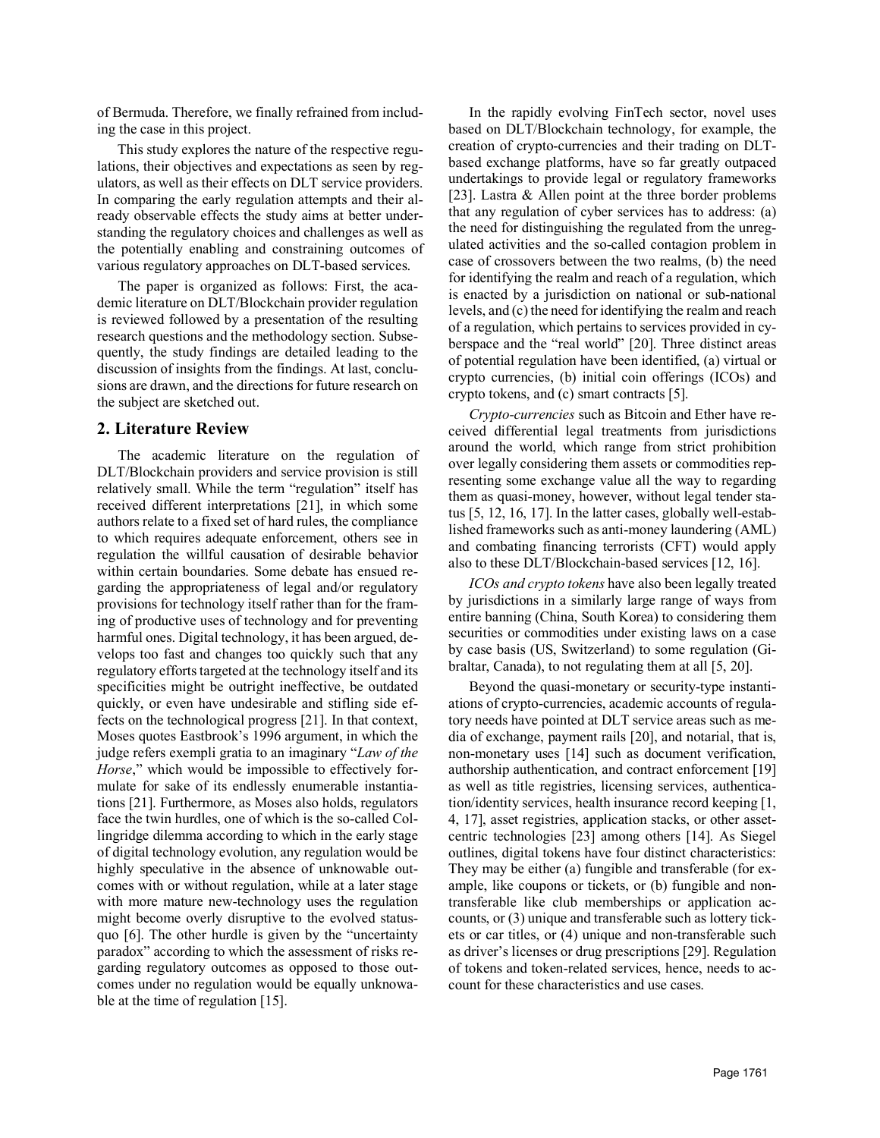of Bermuda. Therefore, we finally refrained from including the case in this project.

This study explores the nature of the respective regulations, their objectives and expectations as seen by regulators, as well as their effects on DLT service providers. In comparing the early regulation attempts and their already observable effects the study aims at better understanding the regulatory choices and challenges as well as the potentially enabling and constraining outcomes of various regulatory approaches on DLT-based services.

The paper is organized as follows: First, the academic literature on DLT/Blockchain provider regulation is reviewed followed by a presentation of the resulting research questions and the methodology section. Subsequently, the study findings are detailed leading to the discussion of insights from the findings. At last, conclusions are drawn, and the directions for future research on the subject are sketched out.

#### **2. Literature Review**

The academic literature on the regulation of DLT/Blockchain providers and service provision is still relatively small. While the term "regulation" itself has received different interpretations [21], in which some authors relate to a fixed set of hard rules, the compliance to which requires adequate enforcement, others see in regulation the willful causation of desirable behavior within certain boundaries. Some debate has ensued regarding the appropriateness of legal and/or regulatory provisions for technology itself rather than for the framing of productive uses of technology and for preventing harmful ones. Digital technology, it has been argued, develops too fast and changes too quickly such that any regulatory efforts targeted at the technology itself and its specificities might be outright ineffective, be outdated quickly, or even have undesirable and stifling side effects on the technological progress [21]. In that context, Moses quotes Eastbrook's 1996 argument, in which the judge refers exempli gratia to an imaginary "*Law of the Horse*," which would be impossible to effectively formulate for sake of its endlessly enumerable instantiations [21]. Furthermore, as Moses also holds, regulators face the twin hurdles, one of which is the so-called Collingridge dilemma according to which in the early stage of digital technology evolution, any regulation would be highly speculative in the absence of unknowable outcomes with or without regulation, while at a later stage with more mature new-technology uses the regulation might become overly disruptive to the evolved statusquo [6]. The other hurdle is given by the "uncertainty paradox" according to which the assessment of risks regarding regulatory outcomes as opposed to those outcomes under no regulation would be equally unknowable at the time of regulation [15].

In the rapidly evolving FinTech sector, novel uses based on DLT/Blockchain technology, for example, the creation of crypto-currencies and their trading on DLTbased exchange platforms, have so far greatly outpaced undertakings to provide legal or regulatory frameworks [23]. Lastra & Allen point at the three border problems that any regulation of cyber services has to address: (a) the need for distinguishing the regulated from the unregulated activities and the so-called contagion problem in case of crossovers between the two realms, (b) the need for identifying the realm and reach of a regulation, which is enacted by a jurisdiction on national or sub-national levels, and (c) the need for identifying the realm and reach of a regulation, which pertains to services provided in cyberspace and the "real world" [20]. Three distinct areas of potential regulation have been identified, (a) virtual or crypto currencies, (b) initial coin offerings (ICOs) and crypto tokens, and (c) smart contracts [5].

*Crypto-currencies* such as Bitcoin and Ether have received differential legal treatments from jurisdictions around the world, which range from strict prohibition over legally considering them assets or commodities representing some exchange value all the way to regarding them as quasi-money, however, without legal tender status [5, 12, 16, 17]. In the latter cases, globally well-established frameworks such as anti-money laundering (AML) and combating financing terrorists (CFT) would apply also to these DLT/Blockchain-based services [12, 16].

*ICOs and crypto tokens* have also been legally treated by jurisdictions in a similarly large range of ways from entire banning (China, South Korea) to considering them securities or commodities under existing laws on a case by case basis (US, Switzerland) to some regulation (Gibraltar, Canada), to not regulating them at all [5, 20].

Beyond the quasi-monetary or security-type instantiations of crypto-currencies, academic accounts of regulatory needs have pointed at DLT service areas such as media of exchange, payment rails [20], and notarial, that is, non-monetary uses [14] such as document verification, authorship authentication, and contract enforcement [19] as well as title registries, licensing services, authentication/identity services, health insurance record keeping [1, 4, 17], asset registries, application stacks, or other assetcentric technologies [23] among others [14]. As Siegel outlines, digital tokens have four distinct characteristics: They may be either (a) fungible and transferable (for example, like coupons or tickets, or (b) fungible and nontransferable like club memberships or application accounts, or (3) unique and transferable such as lottery tickets or car titles, or (4) unique and non-transferable such as driver's licenses or drug prescriptions [29]. Regulation of tokens and token-related services, hence, needs to account for these characteristics and use cases.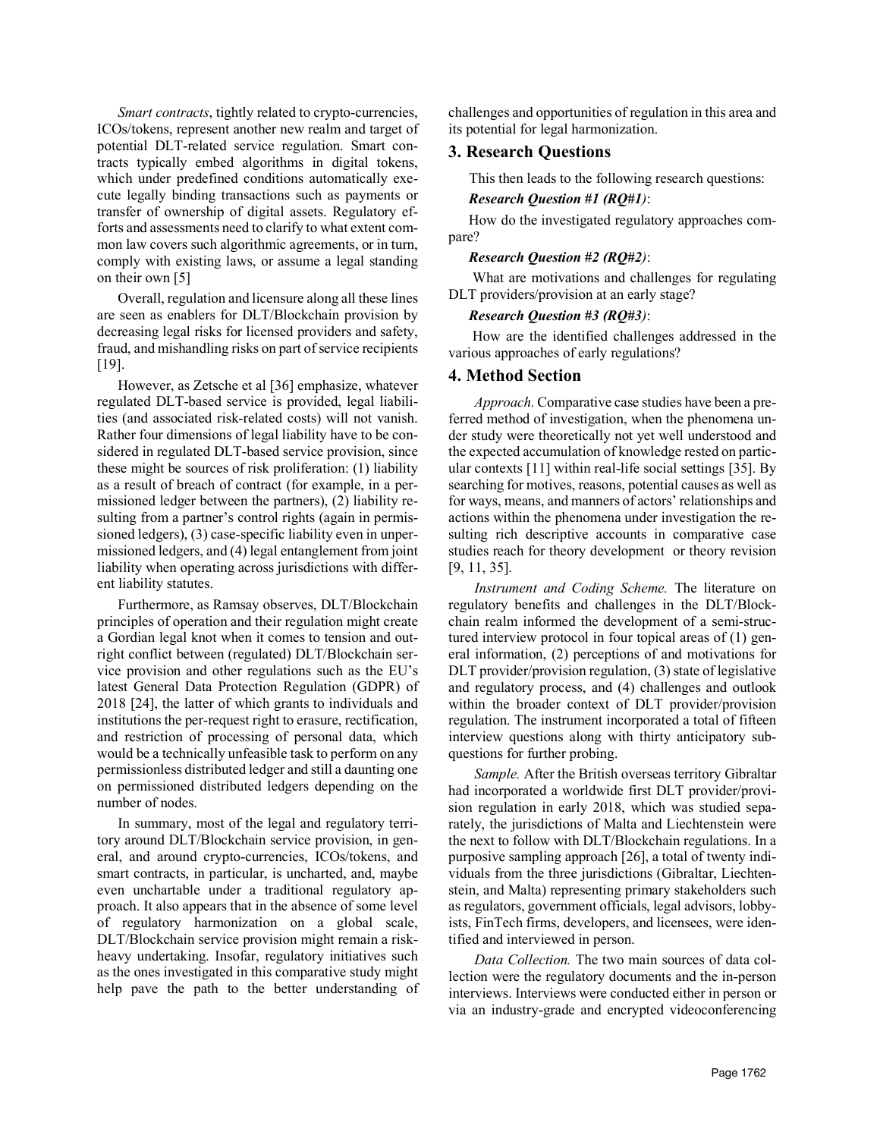*Smart contracts*, tightly related to crypto-currencies, ICOs/tokens, represent another new realm and target of potential DLT-related service regulation. Smart contracts typically embed algorithms in digital tokens, which under predefined conditions automatically execute legally binding transactions such as payments or transfer of ownership of digital assets. Regulatory efforts and assessments need to clarify to what extent common law covers such algorithmic agreements, or in turn, comply with existing laws, or assume a legal standing on their own [5]

Overall, regulation and licensure along all these lines are seen as enablers for DLT/Blockchain provision by decreasing legal risks for licensed providers and safety, fraud, and mishandling risks on part of service recipients [19].

However, as Zetsche et al [36] emphasize, whatever regulated DLT-based service is provided, legal liabilities (and associated risk-related costs) will not vanish. Rather four dimensions of legal liability have to be considered in regulated DLT-based service provision, since these might be sources of risk proliferation: (1) liability as a result of breach of contract (for example, in a permissioned ledger between the partners), (2) liability resulting from a partner's control rights (again in permissioned ledgers), (3) case-specific liability even in unpermissioned ledgers, and (4) legal entanglement from joint liability when operating across jurisdictions with different liability statutes.

Furthermore, as Ramsay observes, DLT/Blockchain principles of operation and their regulation might create a Gordian legal knot when it comes to tension and outright conflict between (regulated) DLT/Blockchain service provision and other regulations such as the EU's latest General Data Protection Regulation (GDPR) of 2018 [24], the latter of which grants to individuals and institutions the per-request right to erasure, rectification, and restriction of processing of personal data, which would be a technically unfeasible task to perform on any permissionless distributed ledger and still a daunting one on permissioned distributed ledgers depending on the number of nodes.

In summary, most of the legal and regulatory territory around DLT/Blockchain service provision, in general, and around crypto-currencies, ICOs/tokens, and smart contracts, in particular, is uncharted, and, maybe even unchartable under a traditional regulatory approach. It also appears that in the absence of some level of regulatory harmonization on a global scale, DLT/Blockchain service provision might remain a riskheavy undertaking. Insofar, regulatory initiatives such as the ones investigated in this comparative study might help pave the path to the better understanding of challenges and opportunities of regulation in this area and its potential for legal harmonization.

#### **3. Research Questions**

This then leads to the following research questions:

## *Research Question #1 (RQ#1)*:

How do the investigated regulatory approaches compare?

#### *Research Question #2 (RQ#2)*:

What are motivations and challenges for regulating DLT providers/provision at an early stage?

#### *Research Question #3 (RQ#3)*:

How are the identified challenges addressed in the various approaches of early regulations?

#### **4. Method Section**

*Approach.* Comparative case studies have been a preferred method of investigation, when the phenomena under study were theoretically not yet well understood and the expected accumulation of knowledge rested on particular contexts [11] within real-life social settings [35]. By searching for motives, reasons, potential causes as well as for ways, means, and manners of actors' relationships and actions within the phenomena under investigation the resulting rich descriptive accounts in comparative case studies reach for theory development or theory revision [9, 11, 35].

*Instrument and Coding Scheme.* The literature on regulatory benefits and challenges in the DLT/Blockchain realm informed the development of a semi-structured interview protocol in four topical areas of (1) general information, (2) perceptions of and motivations for DLT provider/provision regulation, (3) state of legislative and regulatory process, and (4) challenges and outlook within the broader context of DLT provider/provision regulation. The instrument incorporated a total of fifteen interview questions along with thirty anticipatory subquestions for further probing.

*Sample.* After the British overseas territory Gibraltar had incorporated a worldwide first DLT provider/provision regulation in early 2018, which was studied separately, the jurisdictions of Malta and Liechtenstein were the next to follow with DLT/Blockchain regulations. In a purposive sampling approach [26], a total of twenty individuals from the three jurisdictions (Gibraltar, Liechtenstein, and Malta) representing primary stakeholders such as regulators, government officials, legal advisors, lobbyists, FinTech firms, developers, and licensees, were identified and interviewed in person.

*Data Collection.* The two main sources of data collection were the regulatory documents and the in-person interviews. Interviews were conducted either in person or via an industry-grade and encrypted videoconferencing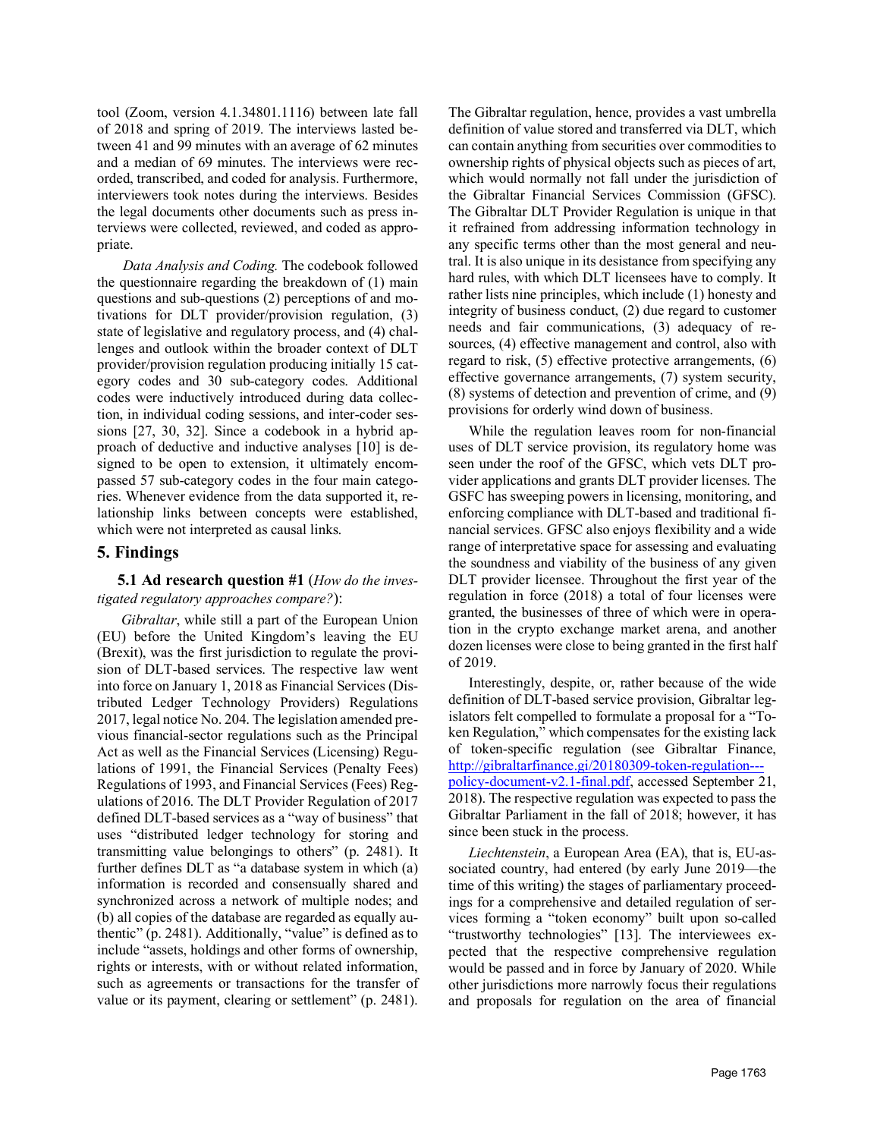tool (Zoom, version 4.1.34801.1116) between late fall of 2018 and spring of 2019. The interviews lasted between 41 and 99 minutes with an average of 62 minutes and a median of 69 minutes. The interviews were recorded, transcribed, and coded for analysis. Furthermore, interviewers took notes during the interviews. Besides the legal documents other documents such as press interviews were collected, reviewed, and coded as appropriate.

*Data Analysis and Coding.* The codebook followed the questionnaire regarding the breakdown of (1) main questions and sub-questions (2) perceptions of and motivations for DLT provider/provision regulation, (3) state of legislative and regulatory process, and (4) challenges and outlook within the broader context of DLT provider/provision regulation producing initially 15 category codes and 30 sub-category codes. Additional codes were inductively introduced during data collection, in individual coding sessions, and inter-coder sessions [27, 30, 32]. Since a codebook in a hybrid approach of deductive and inductive analyses [10] is designed to be open to extension, it ultimately encompassed 57 sub-category codes in the four main categories. Whenever evidence from the data supported it, relationship links between concepts were established, which were not interpreted as causal links.

#### **5. Findings**

## **5.1 Ad research question #1** (*How do the investigated regulatory approaches compare?*):

*Gibraltar*, while still a part of the European Union (EU) before the United Kingdom's leaving the EU (Brexit), was the first jurisdiction to regulate the provision of DLT-based services. The respective law went into force on January 1, 2018 as Financial Services (Distributed Ledger Technology Providers) Regulations 2017, legal notice No. 204. The legislation amended previous financial-sector regulations such as the Principal Act as well as the Financial Services (Licensing) Regulations of 1991, the Financial Services (Penalty Fees) Regulations of 1993, and Financial Services (Fees) Regulations of 2016. The DLT Provider Regulation of 2017 defined DLT-based services as a "way of business" that uses "distributed ledger technology for storing and transmitting value belongings to others" (p. 2481). It further defines DLT as "a database system in which (a) information is recorded and consensually shared and synchronized across a network of multiple nodes; and (b) all copies of the database are regarded as equally authentic" (p. 2481). Additionally, "value" is defined as to include "assets, holdings and other forms of ownership, rights or interests, with or without related information, such as agreements or transactions for the transfer of value or its payment, clearing or settlement" (p. 2481).

The Gibraltar regulation, hence, provides a vast umbrella definition of value stored and transferred via DLT, which can contain anything from securities over commodities to ownership rights of physical objects such as pieces of art, which would normally not fall under the jurisdiction of the Gibraltar Financial Services Commission (GFSC). The Gibraltar DLT Provider Regulation is unique in that it refrained from addressing information technology in any specific terms other than the most general and neutral. It is also unique in its desistance from specifying any hard rules, with which DLT licensees have to comply. It rather lists nine principles, which include (1) honesty and integrity of business conduct, (2) due regard to customer needs and fair communications, (3) adequacy of resources, (4) effective management and control, also with regard to risk, (5) effective protective arrangements, (6) effective governance arrangements, (7) system security, (8) systems of detection and prevention of crime, and (9) provisions for orderly wind down of business.

While the regulation leaves room for non-financial uses of DLT service provision, its regulatory home was seen under the roof of the GFSC, which vets DLT provider applications and grants DLT provider licenses. The GSFC has sweeping powers in licensing, monitoring, and enforcing compliance with DLT-based and traditional financial services. GFSC also enjoys flexibility and a wide range of interpretative space for assessing and evaluating the soundness and viability of the business of any given DLT provider licensee. Throughout the first year of the regulation in force (2018) a total of four licenses were granted, the businesses of three of which were in operation in the crypto exchange market arena, and another dozen licenses were close to being granted in the first half of 2019.

Interestingly, despite, or, rather because of the wide definition of DLT-based service provision, Gibraltar legislators felt compelled to formulate a proposal for a "Token Regulation," which compensates for the existing lack of token-specific regulation (see Gibraltar Finance, http://gibraltarfinance.gi/20180309-token-regulation-- policy-document-v2.1-final.pdf, accessed September 21, 2018). The respective regulation was expected to pass the Gibraltar Parliament in the fall of 2018; however, it has since been stuck in the process.

*Liechtenstein*, a European Area (EA), that is, EU-associated country, had entered (by early June 2019—the time of this writing) the stages of parliamentary proceedings for a comprehensive and detailed regulation of services forming a "token economy" built upon so-called "trustworthy technologies" [13]. The interviewees expected that the respective comprehensive regulation would be passed and in force by January of 2020. While other jurisdictions more narrowly focus their regulations and proposals for regulation on the area of financial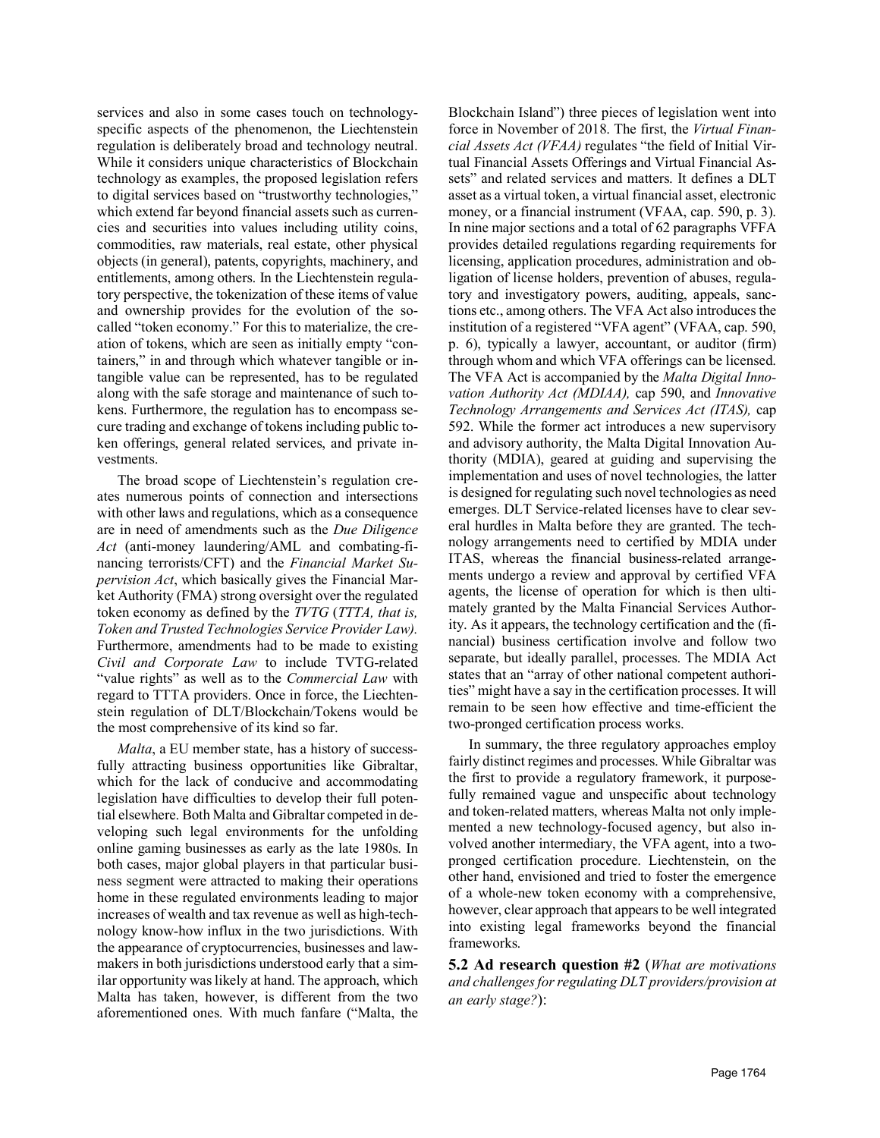services and also in some cases touch on technologyspecific aspects of the phenomenon, the Liechtenstein regulation is deliberately broad and technology neutral. While it considers unique characteristics of Blockchain technology as examples, the proposed legislation refers to digital services based on "trustworthy technologies," which extend far beyond financial assets such as currencies and securities into values including utility coins, commodities, raw materials, real estate, other physical objects (in general), patents, copyrights, machinery, and entitlements, among others. In the Liechtenstein regulatory perspective, the tokenization of these items of value and ownership provides for the evolution of the socalled "token economy." For this to materialize, the creation of tokens, which are seen as initially empty "containers," in and through which whatever tangible or intangible value can be represented, has to be regulated along with the safe storage and maintenance of such tokens. Furthermore, the regulation has to encompass secure trading and exchange of tokens including public token offerings, general related services, and private investments.

The broad scope of Liechtenstein's regulation creates numerous points of connection and intersections with other laws and regulations, which as a consequence are in need of amendments such as the *Due Diligence Act* (anti-money laundering/AML and combating-financing terrorists/CFT) and the *Financial Market Supervision Act*, which basically gives the Financial Market Authority (FMA) strong oversight over the regulated token economy as defined by the *TVTG* (*TTTA, that is, Token and Trusted Technologies Service Provider Law).* Furthermore, amendments had to be made to existing *Civil and Corporate Law* to include TVTG-related "value rights" as well as to the *Commercial Law* with regard to TTTA providers. Once in force, the Liechtenstein regulation of DLT/Blockchain/Tokens would be the most comprehensive of its kind so far.

*Malta*, a EU member state, has a history of successfully attracting business opportunities like Gibraltar, which for the lack of conducive and accommodating legislation have difficulties to develop their full potential elsewhere. Both Malta and Gibraltar competed in developing such legal environments for the unfolding online gaming businesses as early as the late 1980s. In both cases, major global players in that particular business segment were attracted to making their operations home in these regulated environments leading to major increases of wealth and tax revenue as well as high-technology know-how influx in the two jurisdictions. With the appearance of cryptocurrencies, businesses and lawmakers in both jurisdictions understood early that a similar opportunity was likely at hand. The approach, which Malta has taken, however, is different from the two aforementioned ones. With much fanfare ("Malta, the Blockchain Island") three pieces of legislation went into force in November of 2018. The first, the *Virtual Financial Assets Act (VFAA)* regulates "the field of Initial Virtual Financial Assets Offerings and Virtual Financial Assets" and related services and matters. It defines a DLT asset as a virtual token, a virtual financial asset, electronic money, or a financial instrument (VFAA, cap. 590, p. 3). In nine major sections and a total of 62 paragraphs VFFA provides detailed regulations regarding requirements for licensing, application procedures, administration and obligation of license holders, prevention of abuses, regulatory and investigatory powers, auditing, appeals, sanctions etc., among others. The VFA Act also introduces the institution of a registered "VFA agent" (VFAA, cap. 590, p. 6), typically a lawyer, accountant, or auditor (firm) through whom and which VFA offerings can be licensed. The VFA Act is accompanied by the *Malta Digital Innovation Authority Act (MDIAA),* cap 590, and *Innovative Technology Arrangements and Services Act (ITAS),* cap 592. While the former act introduces a new supervisory and advisory authority, the Malta Digital Innovation Authority (MDIA), geared at guiding and supervising the implementation and uses of novel technologies, the latter is designed for regulating such novel technologies as need emerges. DLT Service-related licenses have to clear several hurdles in Malta before they are granted. The technology arrangements need to certified by MDIA under ITAS, whereas the financial business-related arrangements undergo a review and approval by certified VFA agents, the license of operation for which is then ultimately granted by the Malta Financial Services Authority. As it appears, the technology certification and the (financial) business certification involve and follow two separate, but ideally parallel, processes. The MDIA Act states that an "array of other national competent authorities" might have a say in the certification processes. It will remain to be seen how effective and time-efficient the two-pronged certification process works.

In summary, the three regulatory approaches employ fairly distinct regimes and processes. While Gibraltar was the first to provide a regulatory framework, it purposefully remained vague and unspecific about technology and token-related matters, whereas Malta not only implemented a new technology-focused agency, but also involved another intermediary, the VFA agent, into a twopronged certification procedure. Liechtenstein, on the other hand, envisioned and tried to foster the emergence of a whole-new token economy with a comprehensive, however, clear approach that appears to be well integrated into existing legal frameworks beyond the financial frameworks.

**5.2 Ad research question #2** (*What are motivations and challenges for regulating DLT providers/provision at an early stage?*):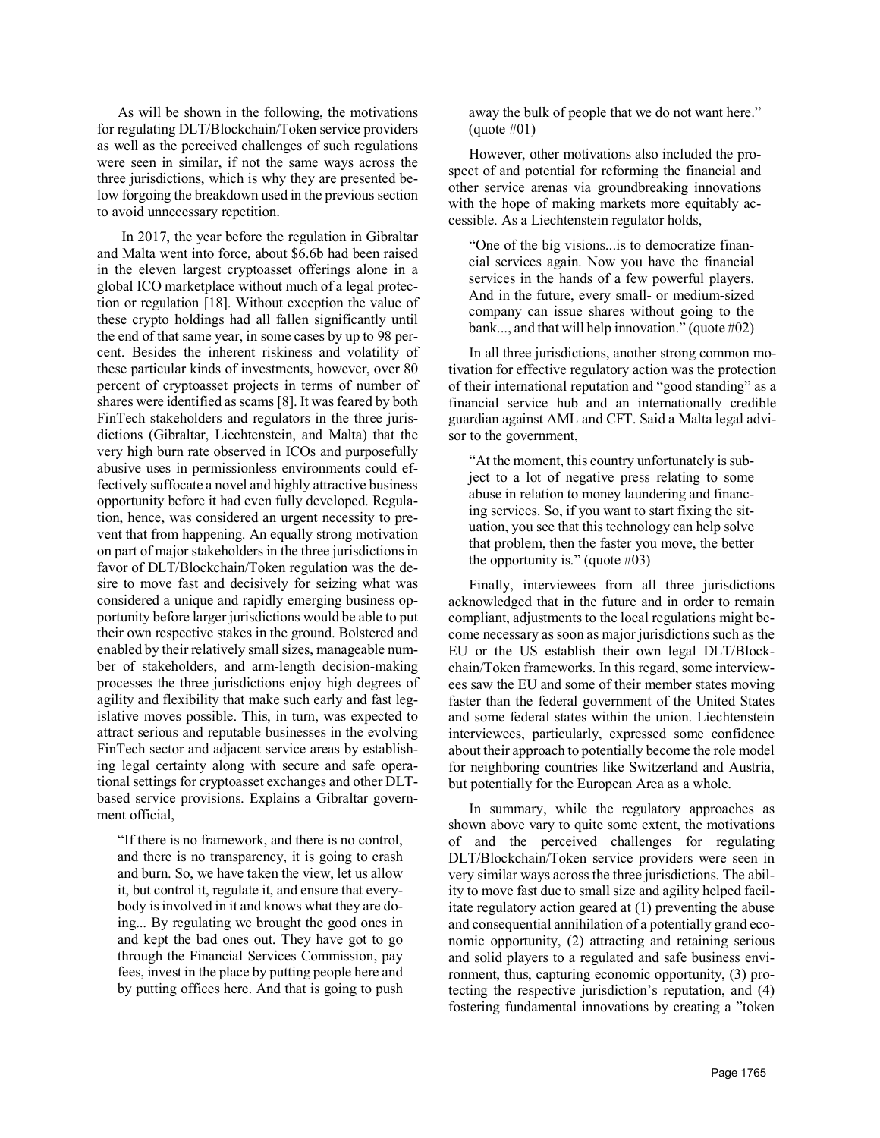As will be shown in the following, the motivations for regulating DLT/Blockchain/Token service providers as well as the perceived challenges of such regulations were seen in similar, if not the same ways across the three jurisdictions, which is why they are presented below forgoing the breakdown used in the previous section to avoid unnecessary repetition.

In 2017, the year before the regulation in Gibraltar and Malta went into force, about \$6.6b had been raised in the eleven largest cryptoasset offerings alone in a global ICO marketplace without much of a legal protection or regulation [18]. Without exception the value of these crypto holdings had all fallen significantly until the end of that same year, in some cases by up to 98 percent. Besides the inherent riskiness and volatility of these particular kinds of investments, however, over 80 percent of cryptoasset projects in terms of number of shares were identified as scams [8]. It was feared by both FinTech stakeholders and regulators in the three jurisdictions (Gibraltar, Liechtenstein, and Malta) that the very high burn rate observed in ICOs and purposefully abusive uses in permissionless environments could effectively suffocate a novel and highly attractive business opportunity before it had even fully developed. Regulation, hence, was considered an urgent necessity to prevent that from happening. An equally strong motivation on part of major stakeholders in the three jurisdictions in favor of DLT/Blockchain/Token regulation was the desire to move fast and decisively for seizing what was considered a unique and rapidly emerging business opportunity before larger jurisdictions would be able to put their own respective stakes in the ground. Bolstered and enabled by their relatively small sizes, manageable number of stakeholders, and arm-length decision-making processes the three jurisdictions enjoy high degrees of agility and flexibility that make such early and fast legislative moves possible. This, in turn, was expected to attract serious and reputable businesses in the evolving FinTech sector and adjacent service areas by establishing legal certainty along with secure and safe operational settings for cryptoasset exchanges and other DLTbased service provisions. Explains a Gibraltar government official,

"If there is no framework, and there is no control, and there is no transparency, it is going to crash and burn. So, we have taken the view, let us allow it, but control it, regulate it, and ensure that everybody is involved in it and knows what they are doing... By regulating we brought the good ones in and kept the bad ones out. They have got to go through the Financial Services Commission, pay fees, invest in the place by putting people here and by putting offices here. And that is going to push away the bulk of people that we do not want here."  $(auote #01)$ 

However, other motivations also included the prospect of and potential for reforming the financial and other service arenas via groundbreaking innovations with the hope of making markets more equitably accessible. As a Liechtenstein regulator holds,

"One of the big visions...is to democratize financial services again. Now you have the financial services in the hands of a few powerful players. And in the future, every small- or medium-sized company can issue shares without going to the bank..., and that will help innovation." (quote #02)

In all three jurisdictions, another strong common motivation for effective regulatory action was the protection of their international reputation and "good standing" as a financial service hub and an internationally credible guardian against AML and CFT. Said a Malta legal advisor to the government,

"At the moment, this country unfortunately is subject to a lot of negative press relating to some abuse in relation to money laundering and financing services. So, if you want to start fixing the situation, you see that this technology can help solve that problem, then the faster you move, the better the opportunity is." (quote  $\#03$ )

Finally, interviewees from all three jurisdictions acknowledged that in the future and in order to remain compliant, adjustments to the local regulations might become necessary as soon as major jurisdictions such as the EU or the US establish their own legal DLT/Blockchain/Token frameworks. In this regard, some interviewees saw the EU and some of their member states moving faster than the federal government of the United States and some federal states within the union. Liechtenstein interviewees, particularly, expressed some confidence about their approach to potentially become the role model for neighboring countries like Switzerland and Austria, but potentially for the European Area as a whole.

In summary, while the regulatory approaches as shown above vary to quite some extent, the motivations of and the perceived challenges for regulating DLT/Blockchain/Token service providers were seen in very similar ways across the three jurisdictions. The ability to move fast due to small size and agility helped facilitate regulatory action geared at (1) preventing the abuse and consequential annihilation of a potentially grand economic opportunity, (2) attracting and retaining serious and solid players to a regulated and safe business environment, thus, capturing economic opportunity, (3) protecting the respective jurisdiction's reputation, and (4) fostering fundamental innovations by creating a "token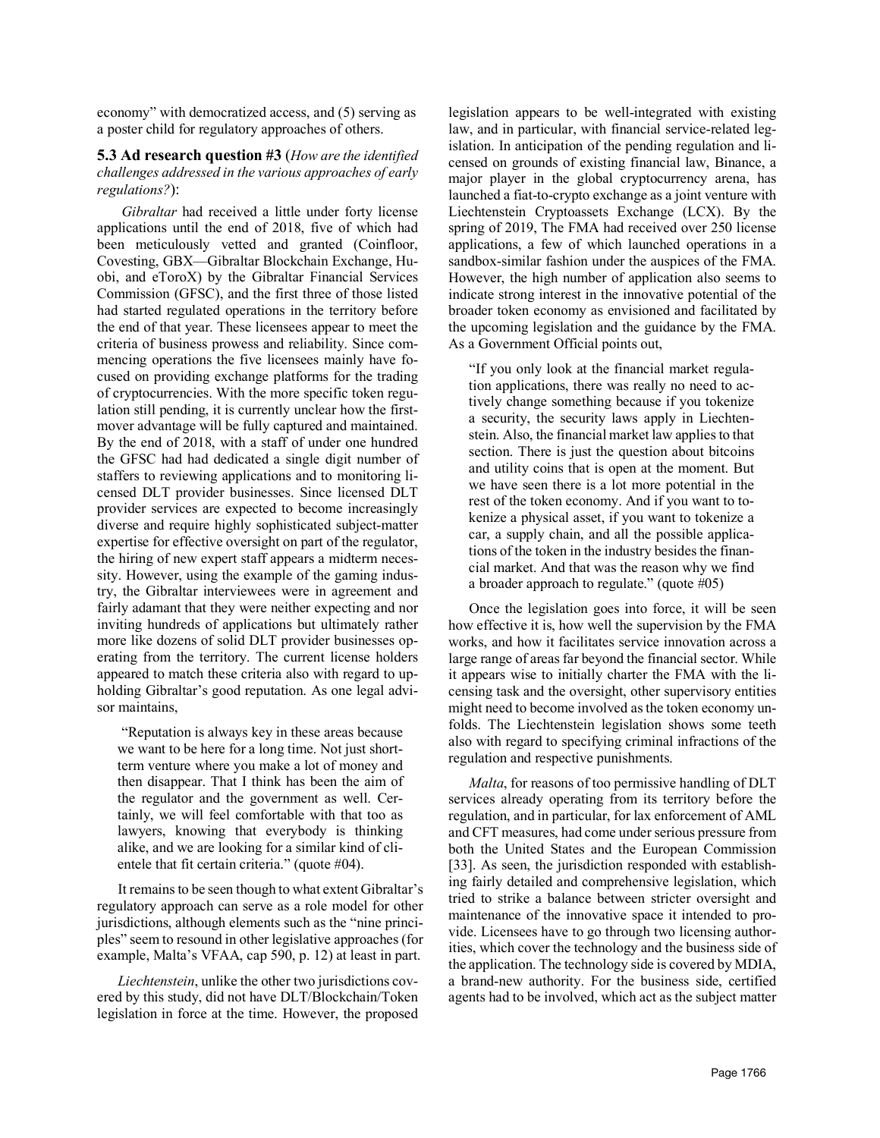economy" with democratized access, and (5) serving as a poster child for regulatory approaches of others.

#### **5.3 Ad research question #3** (*How are the identified challenges addressed in the various approaches of early regulations?*):

*Gibraltar* had received a little under forty license applications until the end of 2018, five of which had been meticulously vetted and granted (Coinfloor, Covesting, GBX—Gibraltar Blockchain Exchange, Huobi, and eToroX) by the Gibraltar Financial Services Commission (GFSC), and the first three of those listed had started regulated operations in the territory before the end of that year. These licensees appear to meet the criteria of business prowess and reliability. Since commencing operations the five licensees mainly have focused on providing exchange platforms for the trading of cryptocurrencies. With the more specific token regulation still pending, it is currently unclear how the firstmover advantage will be fully captured and maintained. By the end of 2018, with a staff of under one hundred the GFSC had had dedicated a single digit number of staffers to reviewing applications and to monitoring licensed DLT provider businesses. Since licensed DLT provider services are expected to become increasingly diverse and require highly sophisticated subject-matter expertise for effective oversight on part of the regulator, the hiring of new expert staff appears a midterm necessity. However, using the example of the gaming industry, the Gibraltar interviewees were in agreement and fairly adamant that they were neither expecting and nor inviting hundreds of applications but ultimately rather more like dozens of solid DLT provider businesses operating from the territory. The current license holders appeared to match these criteria also with regard to upholding Gibraltar's good reputation. As one legal advisor maintains,

"Reputation is always key in these areas because we want to be here for a long time. Not just shortterm venture where you make a lot of money and then disappear. That I think has been the aim of the regulator and the government as well. Certainly, we will feel comfortable with that too as lawyers, knowing that everybody is thinking alike, and we are looking for a similar kind of clientele that fit certain criteria." (quote #04).

It remains to be seen though to what extent Gibraltar's regulatory approach can serve as a role model for other jurisdictions, although elements such as the "nine principles" seem to resound in other legislative approaches (for example, Malta's VFAA, cap 590, p. 12) at least in part.

*Liechtenstein*, unlike the other two jurisdictions covered by this study, did not have DLT/Blockchain/Token legislation in force at the time. However, the proposed legislation appears to be well-integrated with existing law, and in particular, with financial service-related legislation. In anticipation of the pending regulation and licensed on grounds of existing financial law, Binance, a major player in the global cryptocurrency arena, has launched a fiat-to-crypto exchange as a joint venture with Liechtenstein Cryptoassets Exchange (LCX). By the spring of 2019, The FMA had received over 250 license applications, a few of which launched operations in a sandbox-similar fashion under the auspices of the FMA. However, the high number of application also seems to indicate strong interest in the innovative potential of the broader token economy as envisioned and facilitated by the upcoming legislation and the guidance by the FMA. As a Government Official points out,

"If you only look at the financial market regulation applications, there was really no need to actively change something because if you tokenize a security, the security laws apply in Liechtenstein. Also, the financial market law applies to that section. There is just the question about bitcoins and utility coins that is open at the moment. But we have seen there is a lot more potential in the rest of the token economy. And if you want to tokenize a physical asset, if you want to tokenize a car, a supply chain, and all the possible applications of the token in the industry besides the financial market. And that was the reason why we find a broader approach to regulate." (quote #05)

Once the legislation goes into force, it will be seen how effective it is, how well the supervision by the FMA works, and how it facilitates service innovation across a large range of areas far beyond the financial sector. While it appears wise to initially charter the FMA with the licensing task and the oversight, other supervisory entities might need to become involved as the token economy unfolds. The Liechtenstein legislation shows some teeth also with regard to specifying criminal infractions of the regulation and respective punishments.

*Malta*, for reasons of too permissive handling of DLT services already operating from its territory before the regulation, and in particular, for lax enforcement of AML and CFT measures, had come under serious pressure from both the United States and the European Commission [33]. As seen, the jurisdiction responded with establishing fairly detailed and comprehensive legislation, which tried to strike a balance between stricter oversight and maintenance of the innovative space it intended to provide. Licensees have to go through two licensing authorities, which cover the technology and the business side of the application. The technology side is covered by MDIA, a brand-new authority. For the business side, certified agents had to be involved, which act as the subject matter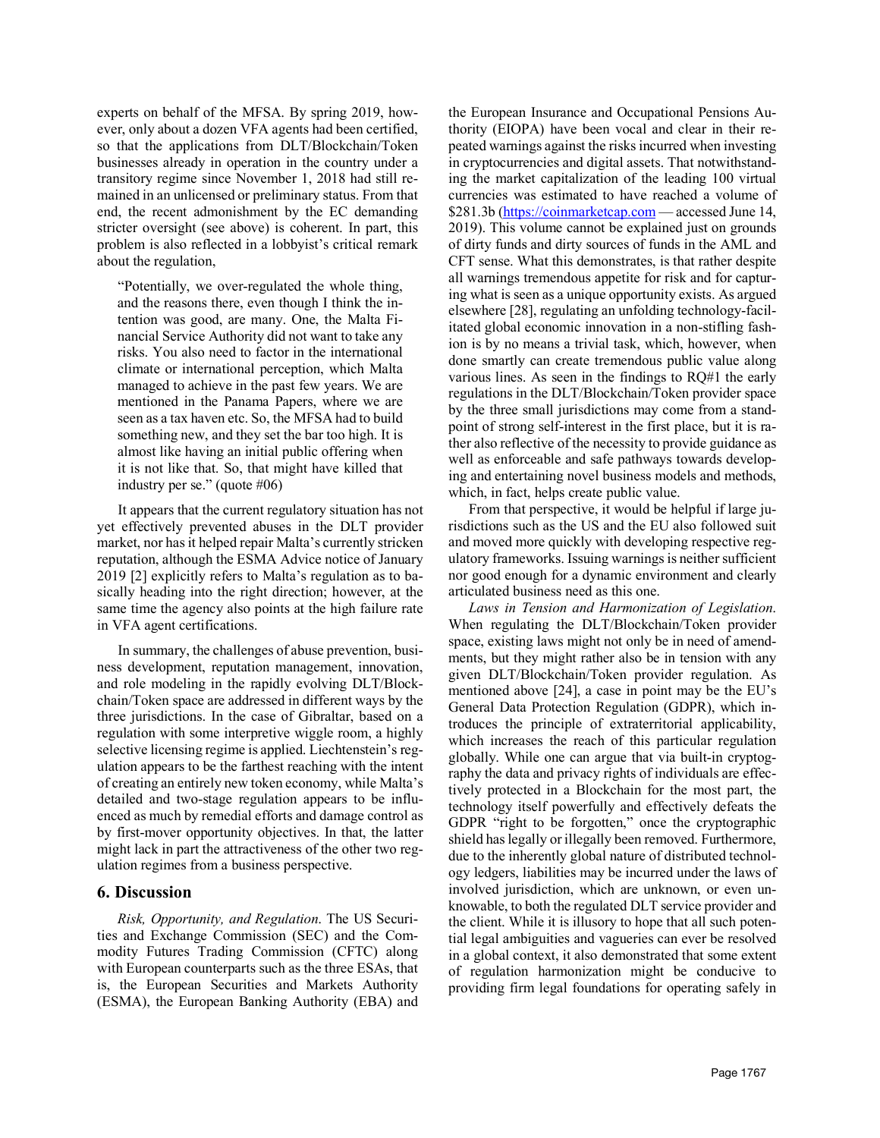experts on behalf of the MFSA. By spring 2019, however, only about a dozen VFA agents had been certified, so that the applications from DLT/Blockchain/Token businesses already in operation in the country under a transitory regime since November 1, 2018 had still remained in an unlicensed or preliminary status. From that end, the recent admonishment by the EC demanding stricter oversight (see above) is coherent. In part, this problem is also reflected in a lobbyist's critical remark about the regulation,

"Potentially, we over-regulated the whole thing, and the reasons there, even though I think the intention was good, are many. One, the Malta Financial Service Authority did not want to take any risks. You also need to factor in the international climate or international perception, which Malta managed to achieve in the past few years. We are mentioned in the Panama Papers, where we are seen as a tax haven etc. So, the MFSA had to build something new, and they set the bar too high. It is almost like having an initial public offering when it is not like that. So, that might have killed that industry per se." (quote #06)

It appears that the current regulatory situation has not yet effectively prevented abuses in the DLT provider market, nor has it helped repair Malta's currently stricken reputation, although the ESMA Advice notice of January 2019 [2] explicitly refers to Malta's regulation as to basically heading into the right direction; however, at the same time the agency also points at the high failure rate in VFA agent certifications.

In summary, the challenges of abuse prevention, business development, reputation management, innovation, and role modeling in the rapidly evolving DLT/Blockchain/Token space are addressed in different ways by the three jurisdictions. In the case of Gibraltar, based on a regulation with some interpretive wiggle room, a highly selective licensing regime is applied. Liechtenstein's regulation appears to be the farthest reaching with the intent of creating an entirely new token economy, while Malta's detailed and two-stage regulation appears to be influenced as much by remedial efforts and damage control as by first-mover opportunity objectives. In that, the latter might lack in part the attractiveness of the other two regulation regimes from a business perspective.

## **6. Discussion**

*Risk, Opportunity, and Regulation*. The US Securities and Exchange Commission (SEC) and the Commodity Futures Trading Commission (CFTC) along with European counterparts such as the three ESAs, that is, the European Securities and Markets Authority (ESMA), the European Banking Authority (EBA) and

the European Insurance and Occupational Pensions Authority (EIOPA) have been vocal and clear in their repeated warnings against the risks incurred when investing in cryptocurrencies and digital assets. That notwithstanding the market capitalization of the leading 100 virtual currencies was estimated to have reached a volume of \$281.3b (https://coinmarketcap.com — accessed June 14, 2019). This volume cannot be explained just on grounds of dirty funds and dirty sources of funds in the AML and CFT sense. What this demonstrates, is that rather despite all warnings tremendous appetite for risk and for capturing what is seen as a unique opportunity exists. As argued elsewhere [28], regulating an unfolding technology-facilitated global economic innovation in a non-stifling fashion is by no means a trivial task, which, however, when done smartly can create tremendous public value along various lines. As seen in the findings to RQ#1 the early regulations in the DLT/Blockchain/Token provider space by the three small jurisdictions may come from a standpoint of strong self-interest in the first place, but it is rather also reflective of the necessity to provide guidance as well as enforceable and safe pathways towards developing and entertaining novel business models and methods, which, in fact, helps create public value.

From that perspective, it would be helpful if large jurisdictions such as the US and the EU also followed suit and moved more quickly with developing respective regulatory frameworks. Issuing warnings is neither sufficient nor good enough for a dynamic environment and clearly articulated business need as this one.

*Laws in Tension and Harmonization of Legislation*. When regulating the DLT/Blockchain/Token provider space, existing laws might not only be in need of amendments, but they might rather also be in tension with any given DLT/Blockchain/Token provider regulation. As mentioned above [24], a case in point may be the EU's General Data Protection Regulation (GDPR), which introduces the principle of extraterritorial applicability, which increases the reach of this particular regulation globally. While one can argue that via built-in cryptography the data and privacy rights of individuals are effectively protected in a Blockchain for the most part, the technology itself powerfully and effectively defeats the GDPR "right to be forgotten," once the cryptographic shield has legally or illegally been removed. Furthermore, due to the inherently global nature of distributed technology ledgers, liabilities may be incurred under the laws of involved jurisdiction, which are unknown, or even unknowable, to both the regulated DLT service provider and the client. While it is illusory to hope that all such potential legal ambiguities and vagueries can ever be resolved in a global context, it also demonstrated that some extent of regulation harmonization might be conducive to providing firm legal foundations for operating safely in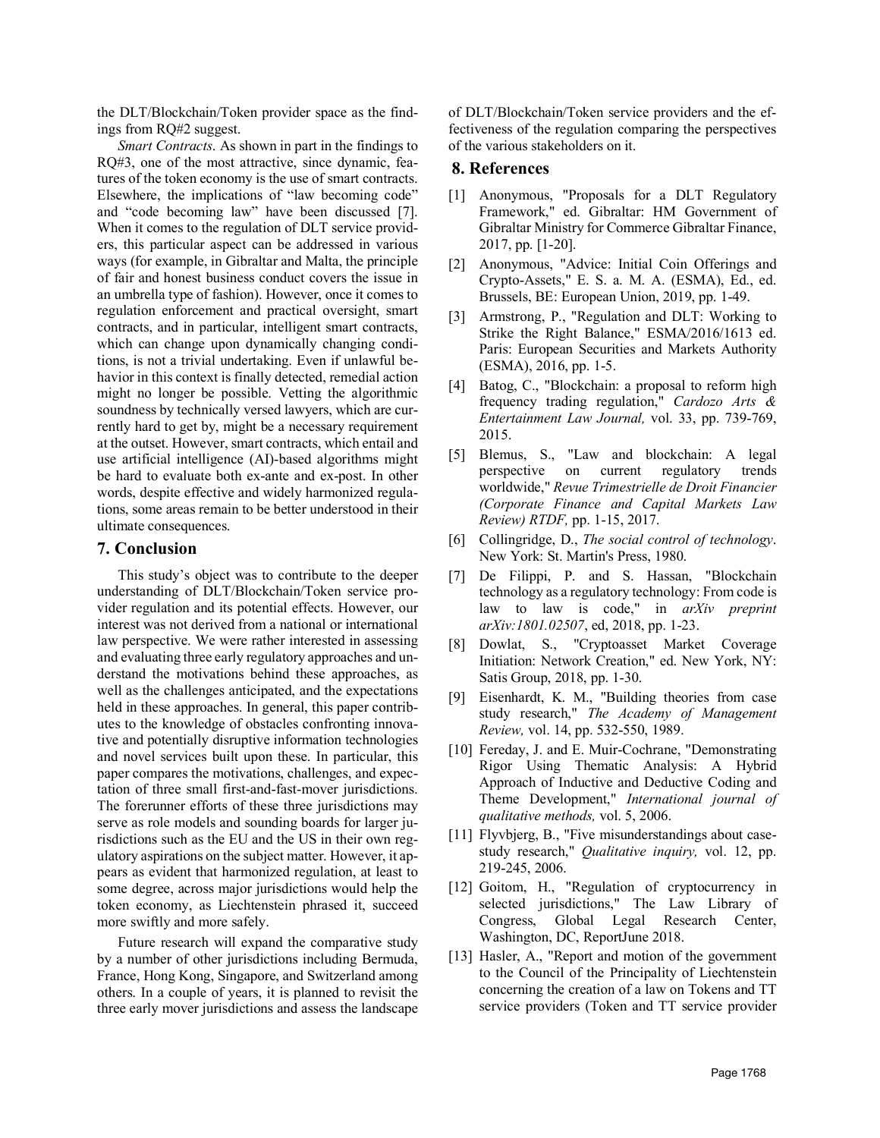the DLT/Blockchain/Token provider space as the findings from RQ#2 suggest.

*Smart Contracts*. As shown in part in the findings to RQ#3, one of the most attractive, since dynamic, features of the token economy is the use of smart contracts. Elsewhere, the implications of "law becoming code" and "code becoming law" have been discussed [7]. When it comes to the regulation of DLT service providers, this particular aspect can be addressed in various ways (for example, in Gibraltar and Malta, the principle of fair and honest business conduct covers the issue in an umbrella type of fashion). However, once it comes to regulation enforcement and practical oversight, smart contracts, and in particular, intelligent smart contracts, which can change upon dynamically changing conditions, is not a trivial undertaking. Even if unlawful behavior in this context is finally detected, remedial action might no longer be possible. Vetting the algorithmic soundness by technically versed lawyers, which are currently hard to get by, might be a necessary requirement at the outset. However, smart contracts, which entail and use artificial intelligence (AI)-based algorithms might be hard to evaluate both ex-ante and ex-post. In other words, despite effective and widely harmonized regulations, some areas remain to be better understood in their ultimate consequences.

#### **7. Conclusion**

This study's object was to contribute to the deeper understanding of DLT/Blockchain/Token service provider regulation and its potential effects. However, our interest was not derived from a national or international law perspective. We were rather interested in assessing and evaluating three early regulatory approaches and understand the motivations behind these approaches, as well as the challenges anticipated, and the expectations held in these approaches. In general, this paper contributes to the knowledge of obstacles confronting innovative and potentially disruptive information technologies and novel services built upon these. In particular, this paper compares the motivations, challenges, and expectation of three small first-and-fast-mover jurisdictions. The forerunner efforts of these three jurisdictions may serve as role models and sounding boards for larger jurisdictions such as the EU and the US in their own regulatory aspirations on the subject matter. However, it appears as evident that harmonized regulation, at least to some degree, across major jurisdictions would help the token economy, as Liechtenstein phrased it, succeed more swiftly and more safely.

Future research will expand the comparative study by a number of other jurisdictions including Bermuda, France, Hong Kong, Singapore, and Switzerland among others. In a couple of years, it is planned to revisit the three early mover jurisdictions and assess the landscape

of DLT/Blockchain/Token service providers and the effectiveness of the regulation comparing the perspectives of the various stakeholders on it.

### **8. References**

- [1] Anonymous, "Proposals for a DLT Regulatory Framework," ed. Gibraltar: HM Government of Gibraltar Ministry for Commerce Gibraltar Finance, 2017, pp. [1-20].
- [2] Anonymous, "Advice: Initial Coin Offerings and Crypto-Assets," E. S. a. M. A. (ESMA), Ed., ed. Brussels, BE: European Union, 2019, pp. 1-49.
- [3] Armstrong, P., "Regulation and DLT: Working to Strike the Right Balance," ESMA/2016/1613 ed. Paris: European Securities and Markets Authority (ESMA), 2016, pp. 1-5.
- [4] Batog, C., "Blockchain: a proposal to reform high frequency trading regulation," *Cardozo Arts & Entertainment Law Journal,* vol. 33, pp. 739-769, 2015.
- [5] Blemus, S., "Law and blockchain: A legal perspective on current regulatory trends worldwide," *Revue Trimestrielle de Droit Financier (Corporate Finance and Capital Markets Law Review) RTDF,* pp. 1-15, 2017.
- [6] Collingridge, D., *The social control of technology*. New York: St. Martin's Press, 1980.
- [7] De Filippi, P. and S. Hassan, "Blockchain technology as a regulatory technology: From code is law to law is code," in *arXiv preprint arXiv:1801.02507*, ed, 2018, pp. 1-23.
- [8] Dowlat, S., "Cryptoasset Market Coverage Initiation: Network Creation," ed. New York, NY: Satis Group, 2018, pp. 1-30.
- [9] Eisenhardt, K. M., "Building theories from case study research," *The Academy of Management Review,* vol. 14, pp. 532-550, 1989.
- [10] Fereday, J. and E. Muir-Cochrane, "Demonstrating Rigor Using Thematic Analysis: A Hybrid Approach of Inductive and Deductive Coding and Theme Development," *International journal of qualitative methods,* vol. 5, 2006.
- [11] Flyvbjerg, B., "Five misunderstandings about casestudy research," *Qualitative inquiry,* vol. 12, pp. 219-245, 2006.
- [12] Goitom, H., "Regulation of cryptocurrency in selected jurisdictions," The Law Library of Congress, Global Legal Research Center, Washington, DC, ReportJune 2018.
- [13] Hasler, A., "Report and motion of the government to the Council of the Principality of Liechtenstein concerning the creation of a law on Tokens and TT service providers (Token and TT service provider